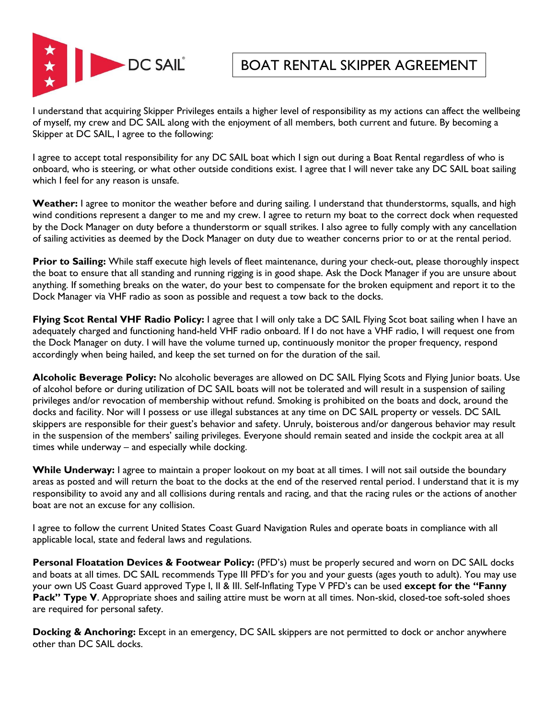

BOAT RENTAL SKIPPER AGREEMENT

I understand that acquiring Skipper Privileges entails a higher level of responsibility as my actions can affect the wellbeing of myself, my crew and DC SAIL along with the enjoyment of all members, both current and future. By becoming a Skipper at DC SAIL, I agree to the following:

I agree to accept total responsibility for any DC SAIL boat which I sign out during a Boat Rental regardless of who is onboard, who is steering, or what other outside conditions exist. I agree that I will never take any DC SAIL boat sailing which I feel for any reason is unsafe.

**Weather:** I agree to monitor the weather before and during sailing. I understand that thunderstorms, squalls, and high wind conditions represent a danger to me and my crew. I agree to return my boat to the correct dock when requested by the Dock Manager on duty before a thunderstorm or squall strikes. I also agree to fully comply with any cancellation of sailing activities as deemed by the Dock Manager on duty due to weather concerns prior to or at the rental period.

**Prior to Sailing:** While staff execute high levels of fleet maintenance, during your check-out, please thoroughly inspect the boat to ensure that all standing and running rigging is in good shape. Ask the Dock Manager if you are unsure about anything. If something breaks on the water, do your best to compensate for the broken equipment and report it to the Dock Manager via VHF radio as soon as possible and request a tow back to the docks.

**Flying Scot Rental VHF Radio Policy:** I agree that I will only take a DC SAIL Flying Scot boat sailing when I have an adequately charged and functioning hand-held VHF radio onboard. If I do not have a VHF radio, I will request one from the Dock Manager on duty. I will have the volume turned up, continuously monitor the proper frequency, respond accordingly when being hailed, and keep the set turned on for the duration of the sail.

**Alcoholic Beverage Policy:** No alcoholic beverages are allowed on DC SAIL Flying Scots and Flying Junior boats. Use of alcohol before or during utilization of DC SAIL boats will not be tolerated and will result in a suspension of sailing privileges and/or revocation of membership without refund. Smoking is prohibited on the boats and dock, around the docks and facility. Nor will I possess or use illegal substances at any time on DC SAIL property or vessels. DC SAIL skippers are responsible for their guest's behavior and safety. Unruly, boisterous and/or dangerous behavior may result in the suspension of the members' sailing privileges. Everyone should remain seated and inside the cockpit area at all times while underway – and especially while docking.

While Underway: I agree to maintain a proper lookout on my boat at all times. I will not sail outside the boundary areas as posted and will return the boat to the docks at the end of the reserved rental period. I understand that it is my responsibility to avoid any and all collisions during rentals and racing, and that the racing rules or the actions of another boat are not an excuse for any collision.

I agree to follow the current United States Coast Guard Navigation Rules and operate boats in compliance with all applicable local, state and federal laws and regulations.

**Personal Floatation Devices & Footwear Policy:** (PFD's) must be properly secured and worn on DC SAIL docks and boats at all times. DC SAIL recommends Type III PFD's for you and your guests (ages youth to adult). You may use your own US Coast Guard approved Type I, II & III. Self-Inflating Type V PFD's can be used **except for the "Fanny**  Pack" Type V. Appropriate shoes and sailing attire must be worn at all times. Non-skid, closed-toe soft-soled shoes are required for personal safety.

**Docking & Anchoring:** Except in an emergency, DC SAIL skippers are not permitted to dock or anchor anywhere other than DC SAIL docks.